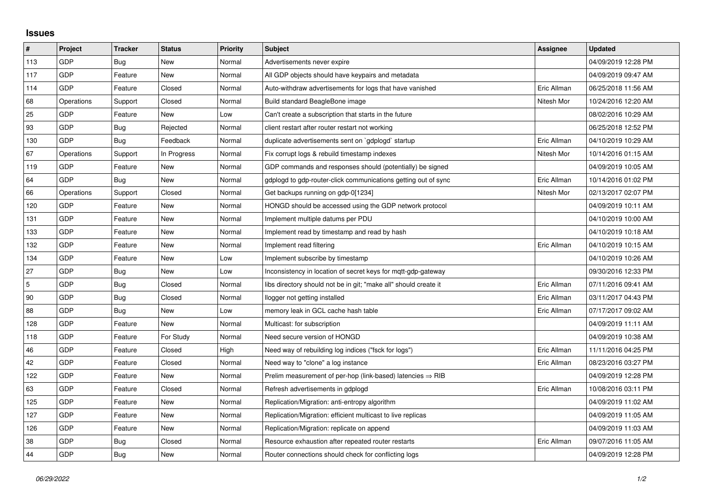## **Issues**

| #   | Project    | <b>Tracker</b> | <b>Status</b> | <b>Priority</b> | <b>Subject</b>                                                         | Assignee    | <b>Updated</b>      |
|-----|------------|----------------|---------------|-----------------|------------------------------------------------------------------------|-------------|---------------------|
| 113 | GDP        | Bug            | <b>New</b>    | Normal          | Advertisements never expire                                            |             | 04/09/2019 12:28 PM |
| 117 | GDP        | Feature        | New           | Normal          | All GDP objects should have keypairs and metadata                      |             | 04/09/2019 09:47 AM |
| 114 | <b>GDP</b> | Feature        | Closed        | Normal          | Auto-withdraw advertisements for logs that have vanished               | Eric Allman | 06/25/2018 11:56 AM |
| 68  | Operations | Support        | Closed        | Normal          | Build standard BeagleBone image                                        | Nitesh Mor  | 10/24/2016 12:20 AM |
| 25  | GDP        | Feature        | New           | Low             | Can't create a subscription that starts in the future                  |             | 08/02/2016 10:29 AM |
| 93  | <b>GDP</b> | <b>Bug</b>     | Rejected      | Normal          | client restart after router restart not working                        |             | 06/25/2018 12:52 PM |
| 130 | GDP        | <b>Bug</b>     | Feedback      | Normal          | duplicate advertisements sent on `gdplogd` startup                     | Eric Allman | 04/10/2019 10:29 AM |
| 67  | Operations | Support        | In Progress   | Normal          | Fix corrupt logs & rebuild timestamp indexes                           | Nitesh Mor  | 10/14/2016 01:15 AM |
| 119 | GDP        | Feature        | <b>New</b>    | Normal          | GDP commands and responses should (potentially) be signed              |             | 04/09/2019 10:05 AM |
| 64  | GDP        | Bug            | <b>New</b>    | Normal          | gdplogd to gdp-router-click communications getting out of sync         | Eric Allman | 10/14/2016 01:02 PM |
| 66  | Operations | Support        | Closed        | Normal          | Get backups running on gdp-0[1234]                                     | Nitesh Mor  | 02/13/2017 02:07 PM |
| 120 | GDP        | Feature        | New           | Normal          | HONGD should be accessed using the GDP network protocol                |             | 04/09/2019 10:11 AM |
| 131 | GDP        | Feature        | New           | Normal          | Implement multiple datums per PDU                                      |             | 04/10/2019 10:00 AM |
| 133 | GDP        | Feature        | New           | Normal          | Implement read by timestamp and read by hash                           |             | 04/10/2019 10:18 AM |
| 132 | GDP        | Feature        | <b>New</b>    | Normal          | Implement read filtering                                               | Eric Allman | 04/10/2019 10:15 AM |
| 134 | GDP        | Feature        | New           | Low             | Implement subscribe by timestamp                                       |             | 04/10/2019 10:26 AM |
| 27  | GDP        | <b>Bug</b>     | New           | Low             | Inconsistency in location of secret keys for mgtt-gdp-gateway          |             | 09/30/2016 12:33 PM |
| 5   | GDP        | Bug            | Closed        | Normal          | libs directory should not be in git; "make all" should create it       | Eric Allman | 07/11/2016 09:41 AM |
| 90  | GDP        | <b>Bug</b>     | Closed        | Normal          | llogger not getting installed                                          | Eric Allman | 03/11/2017 04:43 PM |
| 88  | GDP        | Bug            | New           | Low             | memory leak in GCL cache hash table                                    | Eric Allman | 07/17/2017 09:02 AM |
| 128 | GDP        | Feature        | New           | Normal          | Multicast: for subscription                                            |             | 04/09/2019 11:11 AM |
| 118 | GDP        | Feature        | For Study     | Normal          | Need secure version of HONGD                                           |             | 04/09/2019 10:38 AM |
| 46  | GDP        | Feature        | Closed        | High            | Need way of rebuilding log indices ("fsck for logs")                   | Eric Allman | 11/11/2016 04:25 PM |
| 42  | GDP        | Feature        | Closed        | Normal          | Need way to "clone" a log instance                                     | Eric Allman | 08/23/2016 03:27 PM |
| 122 | GDP        | Feature        | New           | Normal          | Prelim measurement of per-hop (link-based) latencies $\Rightarrow$ RIB |             | 04/09/2019 12:28 PM |
| 63  | GDP        | Feature        | Closed        | Normal          | Refresh advertisements in gdplogd                                      | Eric Allman | 10/08/2016 03:11 PM |
| 125 | GDP        | Feature        | New           | Normal          | Replication/Migration: anti-entropy algorithm                          |             | 04/09/2019 11:02 AM |
| 127 | GDP        | Feature        | New           | Normal          | Replication/Migration: efficient multicast to live replicas            |             | 04/09/2019 11:05 AM |
| 126 | GDP        | Feature        | New           | Normal          | Replication/Migration: replicate on append                             |             | 04/09/2019 11:03 AM |
| 38  | GDP        | Bug            | Closed        | Normal          | Resource exhaustion after repeated router restarts                     | Eric Allman | 09/07/2016 11:05 AM |
| 44  | GDP        | <b>Bug</b>     | New           | Normal          | Router connections should check for conflicting logs                   |             | 04/09/2019 12:28 PM |